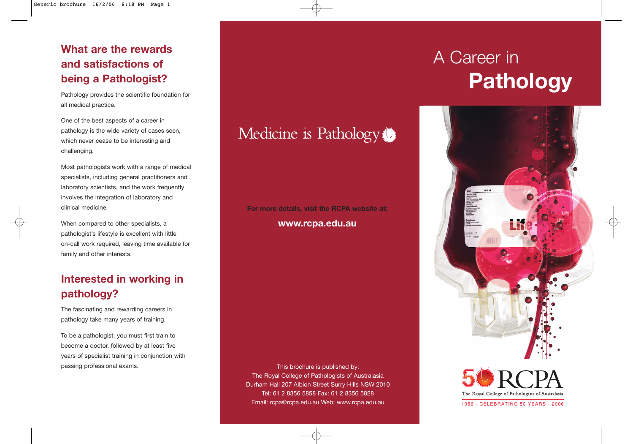## **What are the rewards and satisfactions of being a Pathologist?**

Pathology provides the scientific foundation for all medical practice.

One of the best aspects of a career in pathology is the wide variety of cases seen, which never cease to be interesting and challenging.

Most pathologists work with a range of medical specialists, including general practitioners and laboratory scientists, and the work frequently involves the integration of laboratory and clinical medicine.

When compared to other specialists, a pathologist's lifestyle is excellent with little on-call work required, leaving time available for family and other interests.

## **Interested in working in pathology?**

The fascinating and rewarding careers in pathology take many years of training.

To be a pathologist, you must first train to become a doctor, followed by at least five years of specialist training in conjunction with passing professional exams.

## Medicine is Pathology<sup>(1)</sup>

#### **For more details, visit the RCPA website at: www.rcpa.edu.au**

This brochure is published by: The Royal College of Pathologists of Australasia Durham Hall 207 Albion Street Surry Hills NSW 2010 Tel: 61 2 8356 5858 Fax: 61 2 8356 5828 Email: rcpa@rcpa.edu.au Web: www.rcpa.edu.au

# A Career in **Pathology**





1956 - CELEBRATING 50 YEARS - 2006